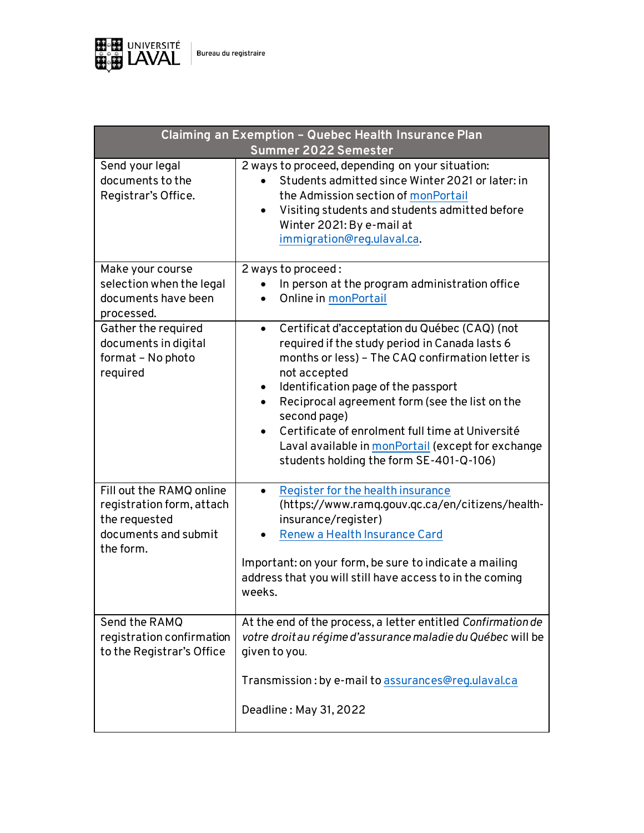

| Claiming an Exemption - Quebec Health Insurance Plan<br>Summer 2022 Semester                                |                                                                                                                                                                                                                                                                                                                                                                                                                                                                  |
|-------------------------------------------------------------------------------------------------------------|------------------------------------------------------------------------------------------------------------------------------------------------------------------------------------------------------------------------------------------------------------------------------------------------------------------------------------------------------------------------------------------------------------------------------------------------------------------|
| Send your legal<br>documents to the<br>Registrar's Office.                                                  | 2 ways to proceed, depending on your situation:<br>Students admitted since Winter 2021 or later: in<br>the Admission section of monPortail<br>Visiting students and students admitted before<br>$\bullet$<br>Winter 2021: By e-mail at<br>immigration@reg.ulaval.ca.                                                                                                                                                                                             |
| Make your course<br>selection when the legal<br>documents have been<br>processed.                           | 2 ways to proceed:<br>In person at the program administration office<br>Online in monPortail                                                                                                                                                                                                                                                                                                                                                                     |
| Gather the required<br>documents in digital<br>format – No photo<br>required                                | Certificat d'acceptation du Québec (CAQ) (not<br>$\bullet$<br>required if the study period in Canada lasts 6<br>months or less) - The CAQ confirmation letter is<br>not accepted<br>Identification page of the passport<br>٠<br>Reciprocal agreement form (see the list on the<br>$\bullet$<br>second page)<br>Certificate of enrolment full time at Université<br>Laval available in monPortail (except for exchange<br>students holding the form SE-401-Q-106) |
| Fill out the RAMQ online<br>registration form, attach<br>the requested<br>documents and submit<br>the form. | Register for the health insurance<br>$\bullet$<br>(https://www.ramq.gouv.qc.ca/en/citizens/health-<br>insurance/register)<br>Renew a Health Insurance Card<br>Important: on your form, be sure to indicate a mailing<br>address that you will still have access to in the coming<br>weeks.                                                                                                                                                                       |
| Send the RAMQ<br>registration confirmation<br>to the Registrar's Office                                     | At the end of the process, a letter entitled Confirmation de<br>votre droit au régime d'assurance maladie du Québec will be<br>given to you.                                                                                                                                                                                                                                                                                                                     |
|                                                                                                             | Transmission: by e-mail to assurances@reg.ulaval.ca<br>Deadline: May 31, 2022                                                                                                                                                                                                                                                                                                                                                                                    |